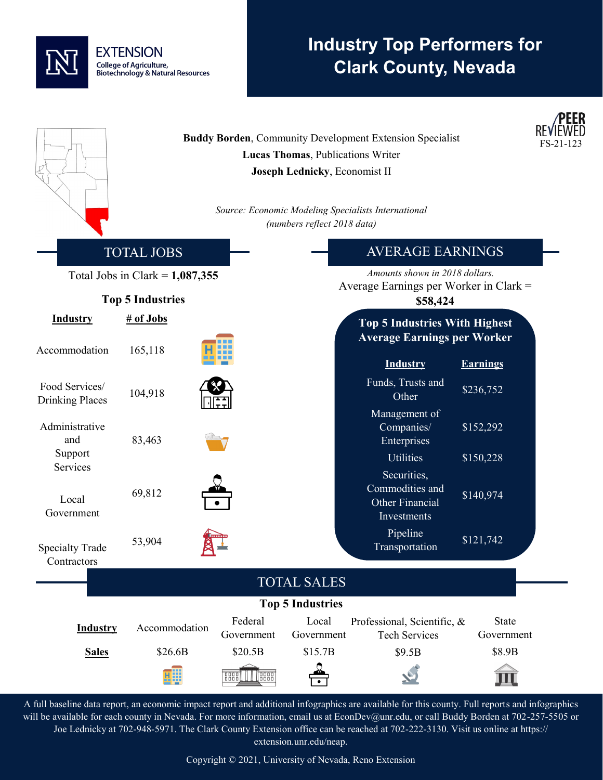## **EXTENSION** College of Agriculture, **Biotechnology & Natural Resources**

# **Industry Top Performers for Clark County, Nevada**

|                                          |                   |                               | Lucas Thomas, Publications Writer<br>Joseph Lednicky, Economist II<br>(numbers reflect 2018 data) | <b>Buddy Borden, Community Development Extension Specialist</b><br>Source: Economic Modeling Specialists International |                        | EER<br>FS-21-123 |
|------------------------------------------|-------------------|-------------------------------|---------------------------------------------------------------------------------------------------|------------------------------------------------------------------------------------------------------------------------|------------------------|------------------|
|                                          | <b>TOTAL JOBS</b> |                               |                                                                                                   | <b>AVERAGE EARNINGS</b>                                                                                                |                        |                  |
| Total Jobs in Clark = $1,087,355$        |                   |                               | Amounts shown in 2018 dollars.                                                                    |                                                                                                                        |                        |                  |
| <b>Top 5 Industries</b>                  |                   |                               | Average Earnings per Worker in Clark =<br>\$58,424                                                |                                                                                                                        |                        |                  |
| <b>Industry</b>                          | # of Jobs         |                               |                                                                                                   | <b>Top 5 Industries With Highest</b>                                                                                   |                        |                  |
| Accommodation                            | 165,118           |                               |                                                                                                   | <b>Average Earnings per Worker</b><br><b>Industry</b>                                                                  | <b>Earnings</b>        |                  |
| Food Services/<br><b>Drinking Places</b> | 104,918           |                               |                                                                                                   | Funds, Trusts and<br>Other                                                                                             | \$236,752              |                  |
| Administrative<br>and<br>Support         | 83,463            |                               |                                                                                                   | Management of<br>Companies/<br>Enterprises                                                                             | \$152,292              |                  |
| Services<br>Local<br>Government          | 69,812            |                               |                                                                                                   | <b>Utilities</b><br>Securities,<br>Commodities and<br><b>Other Financial</b><br>Investments                            | \$150,228<br>\$140,974 |                  |
| <b>Specialty Trade</b><br>Contractors    | 53,904            |                               |                                                                                                   | Pipeline<br>Transportation                                                                                             | \$121,742              |                  |
|                                          |                   |                               | <b>TOTAL SALES</b>                                                                                |                                                                                                                        |                        |                  |
|                                          |                   |                               | <b>Top 5 Industries</b>                                                                           |                                                                                                                        |                        |                  |
| <b>Industry</b>                          | Accommodation     | Federal<br>Government         | Local<br>Government                                                                               | Professional, Scientific, &<br><b>Tech Services</b>                                                                    | State<br>Government    |                  |
| <b>Sales</b>                             | \$26.6B           | \$20.5B                       | \$15.7B                                                                                           | \$9.5B                                                                                                                 | \$8.9B                 |                  |
|                                          | 蠅                 | <b>J</b> BBBB<br>0000<br>0000 |                                                                                                   |                                                                                                                        |                        |                  |

A full baseline data report, an economic impact report and additional infographics are available for this county. Full reports and infographics will be available for each county in Nevada. For more information, email us at EconDev@unr.edu, or call Buddy Borden at 702-257-5505 or Joe Lednicky at 702-948-5971. The Clark County Extension office can be reached at 702-222-3130. Visit us online at https:// extension.unr.edu/neap.

Copyright © 2021, University of Nevada, Reno Extension